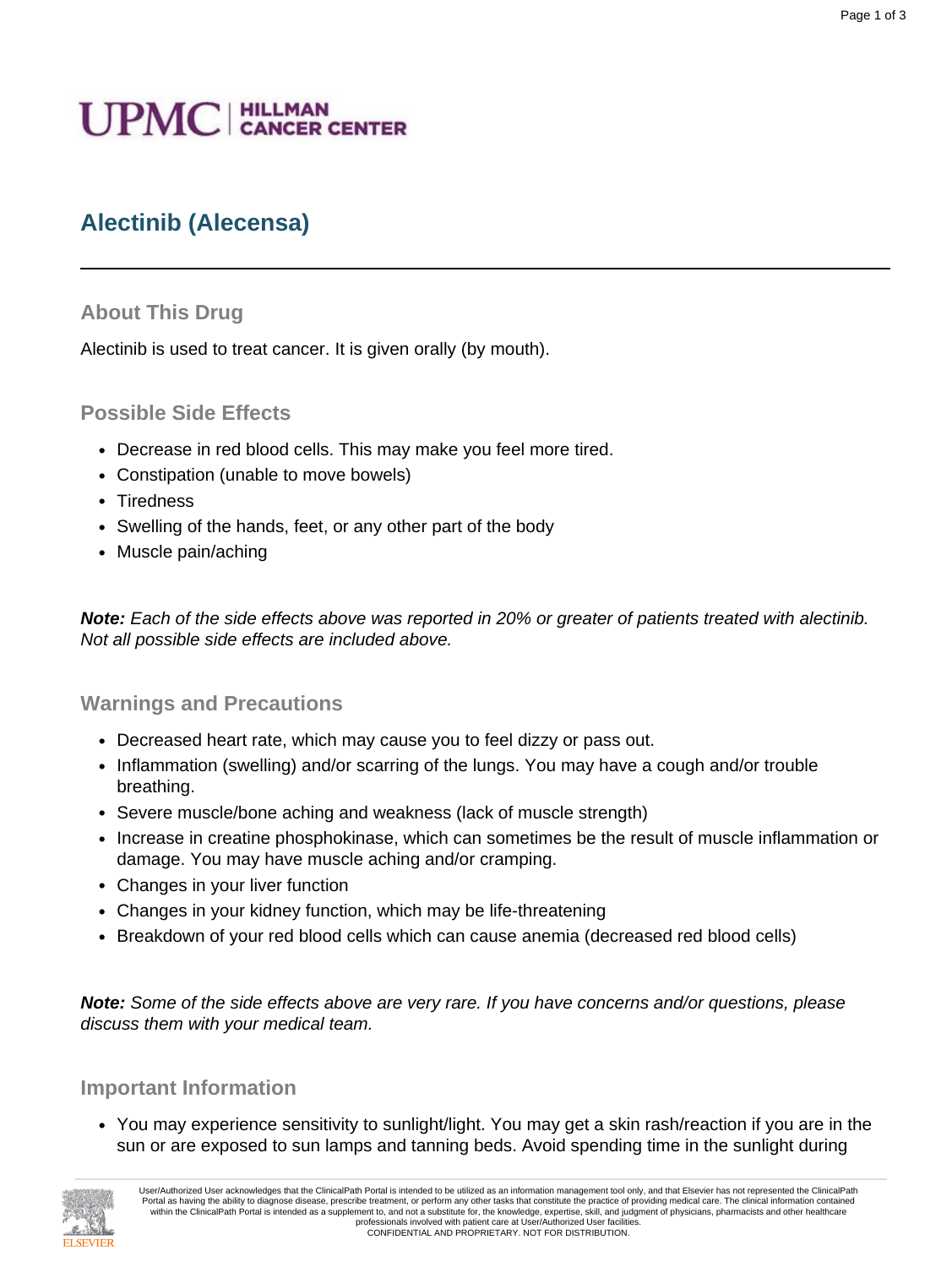# **UPMC** | HILLMAN

# **Alectinib (Alecensa)**

## **About This Drug**

Alectinib is used to treat cancer. It is given orally (by mouth).

## **Possible Side Effects**

- Decrease in red blood cells. This may make you feel more tired.
- Constipation (unable to move bowels)
- Tiredness
- Swelling of the hands, feet, or any other part of the body
- Muscle pain/aching

**Note:** Each of the side effects above was reported in 20% or greater of patients treated with alectinib. Not all possible side effects are included above.

## **Warnings and Precautions**

- Decreased heart rate, which may cause you to feel dizzy or pass out.
- Inflammation (swelling) and/or scarring of the lungs. You may have a cough and/or trouble breathing.
- Severe muscle/bone aching and weakness (lack of muscle strength)
- Increase in creatine phosphokinase, which can sometimes be the result of muscle inflammation or damage. You may have muscle aching and/or cramping.
- Changes in your liver function
- Changes in your kidney function, which may be life-threatening
- Breakdown of your red blood cells which can cause anemia (decreased red blood cells)

**Note:** Some of the side effects above are very rare. If you have concerns and/or questions, please discuss them with your medical team.

## **Important Information**

• You may experience sensitivity to sunlight/light. You may get a skin rash/reaction if you are in the sun or are exposed to sun lamps and tanning beds. Avoid spending time in the sunlight during

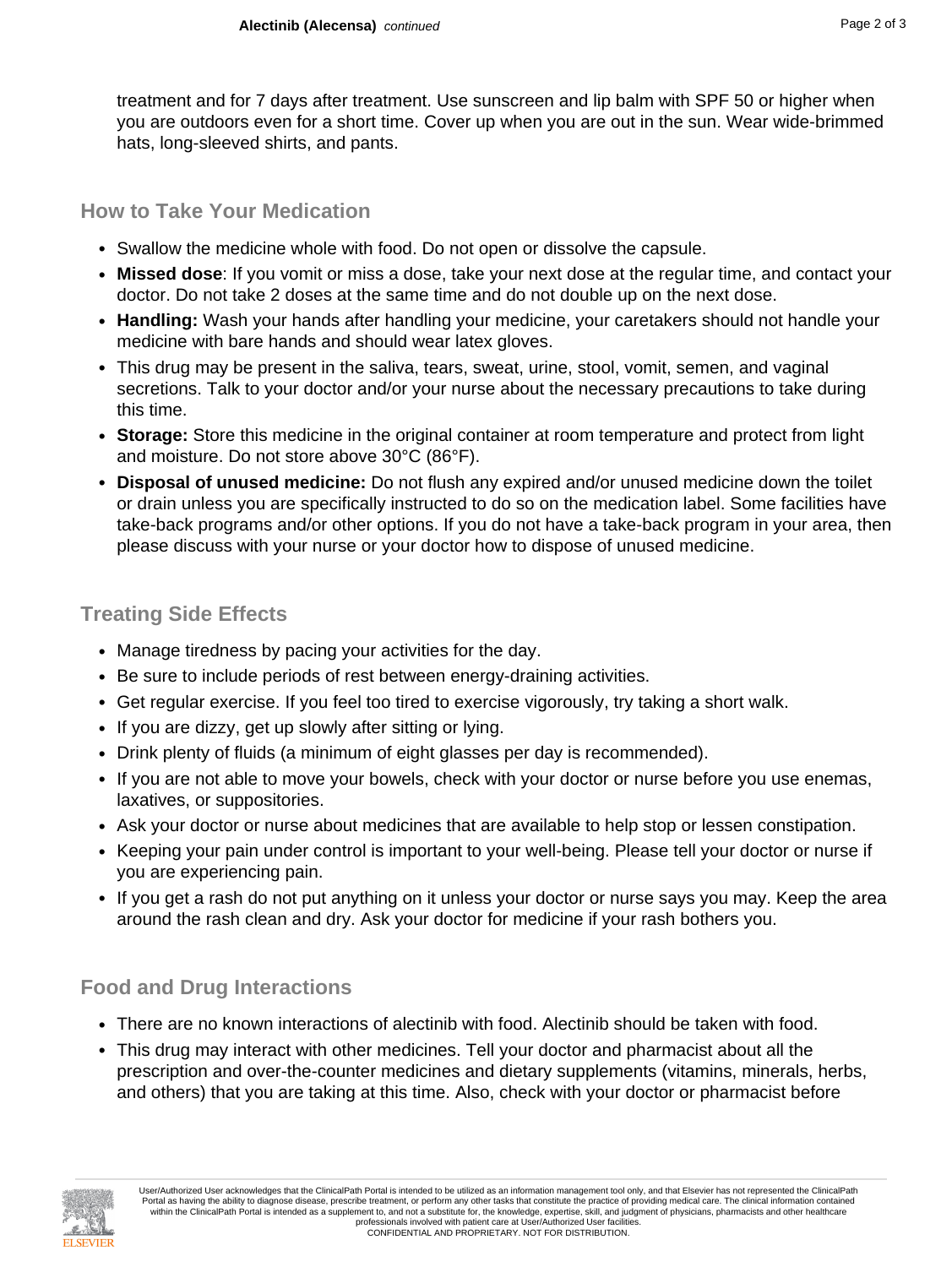treatment and for 7 days after treatment. Use sunscreen and lip balm with SPF 50 or higher when you are outdoors even for a short time. Cover up when you are out in the sun. Wear wide-brimmed hats, long-sleeved shirts, and pants.

# **How to Take Your Medication**

- Swallow the medicine whole with food. Do not open or dissolve the capsule.
- **Missed dose**: If you vomit or miss a dose, take your next dose at the regular time, and contact your doctor. Do not take 2 doses at the same time and do not double up on the next dose.
- **Handling:** Wash your hands after handling your medicine, your caretakers should not handle your medicine with bare hands and should wear latex gloves.
- This drug may be present in the saliva, tears, sweat, urine, stool, vomit, semen, and vaginal secretions. Talk to your doctor and/or your nurse about the necessary precautions to take during this time.
- **Storage:** Store this medicine in the original container at room temperature and protect from light and moisture. Do not store above 30°C (86°F).
- **Disposal of unused medicine:** Do not flush any expired and/or unused medicine down the toilet or drain unless you are specifically instructed to do so on the medication label. Some facilities have take-back programs and/or other options. If you do not have a take-back program in your area, then please discuss with your nurse or your doctor how to dispose of unused medicine.

# **Treating Side Effects**

- Manage tiredness by pacing your activities for the day.
- Be sure to include periods of rest between energy-draining activities.
- Get regular exercise. If you feel too tired to exercise vigorously, try taking a short walk.
- If you are dizzy, get up slowly after sitting or lying.
- Drink plenty of fluids (a minimum of eight glasses per day is recommended).
- If you are not able to move your bowels, check with your doctor or nurse before you use enemas, laxatives, or suppositories.
- Ask your doctor or nurse about medicines that are available to help stop or lessen constipation.
- Keeping your pain under control is important to your well-being. Please tell your doctor or nurse if you are experiencing pain.
- If you get a rash do not put anything on it unless your doctor or nurse says you may. Keep the area around the rash clean and dry. Ask your doctor for medicine if your rash bothers you.

# **Food and Drug Interactions**

- There are no known interactions of alectinib with food. Alectinib should be taken with food.
- This drug may interact with other medicines. Tell your doctor and pharmacist about all the prescription and over-the-counter medicines and dietary supplements (vitamins, minerals, herbs, and others) that you are taking at this time. Also, check with your doctor or pharmacist before



User/Authorized User acknowledges that the ClinicalPath Portal is intended to be utilized as an information management tool only, and that Elsevier has not represented the ClinicalPath Portal as having the ability to diagnose disease, prescribe treatment, or perform any other tasks that constitute the practice of providing medical care. The clinical information contained within the ClinicalPath Portal is intended as a supplement to, and not a substitute for, the knowledge, expertise, skill, and judgment of physicians, pharmacists and other healthcare professionals involved with patient care at User/Authorized User facilities. CONFIDENTIAL AND PROPRIETARY. NOT FOR DISTRIBUTION.